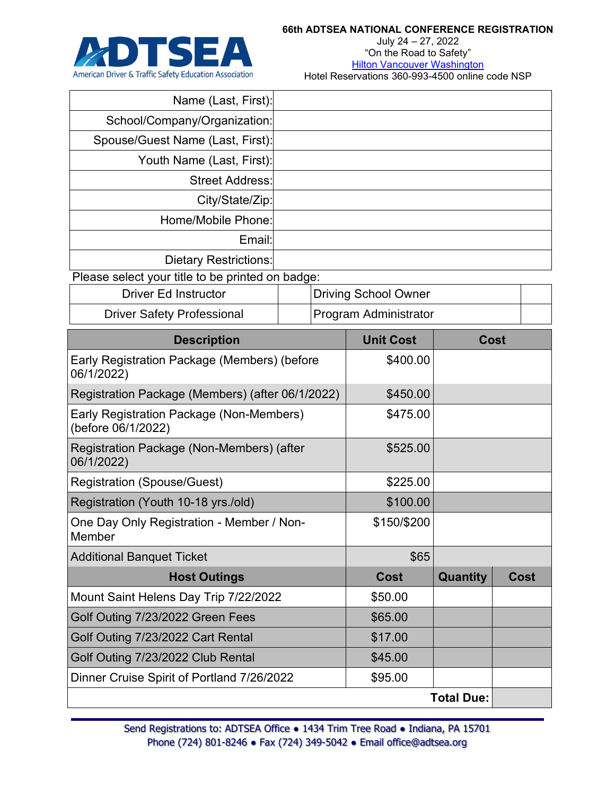

July 24 – 27, 2022 "On the Road to Safety" **[Hilton Vancouver Washington](https://www.hilton.com/en/book/reservation/rooms/?ctyhocn=PDXVAHH&arrivalDate=2022-07-22&departureDate=2022-07-28&room1NumAdults=1&cid=OM%2CWW%2CHILTONLINK%2CEN%2CDirectLink)** Hotel Reservations 360-993-4500 online code NSP

| Name (Last, First):                                            |  |             |                             |             |             |  |  |
|----------------------------------------------------------------|--|-------------|-----------------------------|-------------|-------------|--|--|
| School/Company/Organization:                                   |  |             |                             |             |             |  |  |
| Spouse/Guest Name (Last, First):                               |  |             |                             |             |             |  |  |
| Youth Name (Last, First):                                      |  |             |                             |             |             |  |  |
| <b>Street Address:</b>                                         |  |             |                             |             |             |  |  |
| City/State/Zip:                                                |  |             |                             |             |             |  |  |
| Home/Mobile Phone:                                             |  |             |                             |             |             |  |  |
| Email:                                                         |  |             |                             |             |             |  |  |
| <b>Dietary Restrictions:</b>                                   |  |             |                             |             |             |  |  |
| Please select your title to be printed on badge:               |  |             |                             |             |             |  |  |
| <b>Driver Ed Instructor</b>                                    |  |             | <b>Driving School Owner</b> |             |             |  |  |
| <b>Driver Safety Professional</b>                              |  |             | Program Administrator       |             |             |  |  |
| <b>Description</b>                                             |  |             | <b>Unit Cost</b>            | <b>Cost</b> |             |  |  |
| Early Registration Package (Members) (before<br>06/1/2022)     |  | \$400.00    |                             |             |             |  |  |
| Registration Package (Members) (after 06/1/2022)               |  |             | \$450.00                    |             |             |  |  |
| Early Registration Package (Non-Members)<br>(before 06/1/2022) |  |             | \$475.00                    |             |             |  |  |
| Registration Package (Non-Members) (after<br>06/1/2022)        |  |             | \$525.00                    |             |             |  |  |
| <b>Registration (Spouse/Guest)</b>                             |  | \$225.00    |                             |             |             |  |  |
| Registration (Youth 10-18 yrs./old)                            |  |             | \$100.00                    |             |             |  |  |
| One Day Only Registration - Member / Non-<br>Member            |  |             | \$150/\$200                 |             |             |  |  |
| <b>Additional Banquet Ticket</b>                               |  | \$65        |                             |             |             |  |  |
| <b>Host Outings</b>                                            |  | <b>Cost</b> | Quantity                    |             | <b>Cost</b> |  |  |
| Mount Saint Helens Day Trip 7/22/2022                          |  | \$50.00     |                             |             |             |  |  |
| Golf Outing 7/23/2022 Green Fees                               |  | \$65.00     |                             |             |             |  |  |
| Golf Outing 7/23/2022 Cart Rental                              |  |             | \$17.00                     |             |             |  |  |
| Golf Outing 7/23/2022 Club Rental                              |  |             | \$45.00                     |             |             |  |  |
| Dinner Cruise Spirit of Portland 7/26/2022                     |  |             | \$95.00                     |             |             |  |  |
| <b>Total Due:</b>                                              |  |             |                             |             |             |  |  |
|                                                                |  |             |                             |             |             |  |  |

Send Registrations to: ADTSEA Office . 1434 Trim Tree Road . Indiana, PA 15701 Phone (724) 801-8246 ● Fax (724) 349-5042 ● Email office@adtsea.org